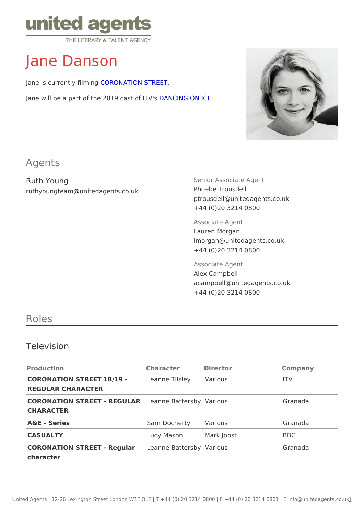# Jane Danson

Jane is currently **CORONATION STREET**.

Jane will be a part of the 2019 Do4aNs CION GITO NISICE.

#### Agents

Ruth Young ruthyoungteam@unitedagents.co.uk Senior Associate Agent Phoebe Trousdell ptrousdell@unitedagents.co.uk +44 (0)20 3214 0800 Associate Agent Lauren Morgan lmorgan@unitedagents.co.uk +44 (0)20 3214 0800 Associate Agent Alex Campbell acampbell@unitedagents.co.uk +44 (0)20 3214 0800

### Roles

#### Television

| Production                                                        | Character Director  |                       | Company    |
|-------------------------------------------------------------------|---------------------|-----------------------|------------|
| CORONATION STREET 18/19 eanne Tilsle Various<br>REGULAR CHARACTER |                     |                       | ITV        |
| CORONATION STREET - REGELLIANRE Batten & abonyious<br>CHARACTER   |                     |                       | Granada    |
| A&E - Series                                                      | Sam DochertyVarious |                       | Granada    |
| CASUALTY                                                          |                     | Lucy Mason Mark Jobst | <b>BBC</b> |
| CORONATION STREET - Reduelaamne Batter Nsabryious<br>character    |                     |                       | Granada    |